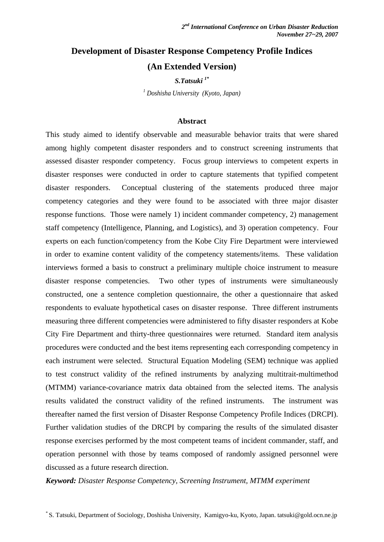# **Development of Disaster Response Competency Profile Indices (An Extended Version)**

*S.Tatsuki 1\**

*1 Doshisha University (Kyoto, Japan)* 

#### **Abstract**

This study aimed to identify observable and measurable behavior traits that were shared among highly competent disaster responders and to construct screening instruments that assessed disaster responder competency. Focus group interviews to competent experts in disaster responses were conducted in order to capture statements that typified competent disaster responders. Conceptual clustering of the statements produced three major competency categories and they were found to be associated with three major disaster response functions. Those were namely 1) incident commander competency, 2) management staff competency (Intelligence, Planning, and Logistics), and 3) operation competency. Four experts on each function/competency from the Kobe City Fire Department were interviewed in order to examine content validity of the competency statements/items. These validation interviews formed a basis to construct a preliminary multiple choice instrument to measure disaster response competencies. Two other types of instruments were simultaneously constructed, one a sentence completion questionnaire, the other a questionnaire that asked respondents to evaluate hypothetical cases on disaster response. Three different instruments measuring three different competencies were administered to fifty disaster responders at Kobe City Fire Department and thirty-three questionnaires were returned. Standard item analysis procedures were conducted and the best items representing each corresponding competency in each instrument were selected. Structural Equation Modeling (SEM) technique was applied to test construct validity of the refined instruments by analyzing multitrait-multimethod (MTMM) variance-covariance matrix data obtained from the selected items. The analysis results validated the construct validity of the refined instruments. The instrument was thereafter named the first version of Disaster Response Competency Profile Indices (DRCPI). Further validation studies of the DRCPI by comparing the results of the simulated disaster response exercises performed by the most competent teams of incident commander, staff, and operation personnel with those by teams composed of randomly assigned personnel were discussed as a future research direction.

*Keyword: Disaster Response Competency, Screening Instrument, MTMM experiment*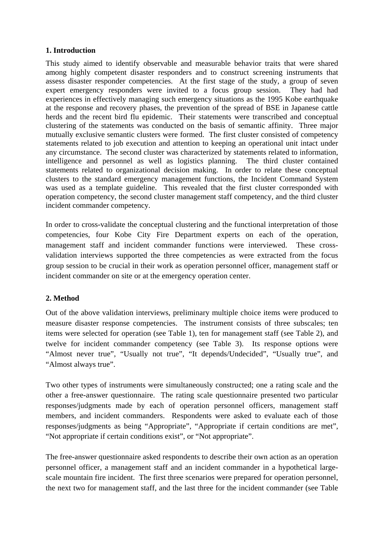### **1. Introduction**

This study aimed to identify observable and measurable behavior traits that were shared among highly competent disaster responders and to construct screening instruments that assess disaster responder competencies. At the first stage of the study, a group of seven expert emergency responders were invited to a focus group session. They had had experiences in effectively managing such emergency situations as the 1995 Kobe earthquake at the response and recovery phases, the prevention of the spread of BSE in Japanese cattle herds and the recent bird flu epidemic. Their statements were transcribed and conceptual clustering of the statements was conducted on the basis of semantic affinity. Three major mutually exclusive semantic clusters were formed. The first cluster consisted of competency statements related to job execution and attention to keeping an operational unit intact under any circumstance. The second cluster was characterized by statements related to information, intelligence and personnel as well as logistics planning. The third cluster contained statements related to organizational decision making. In order to relate these conceptual clusters to the standard emergency management functions, the Incident Command System was used as a template guideline. This revealed that the first cluster corresponded with operation competency, the second cluster management staff competency, and the third cluster incident commander competency.

In order to cross-validate the conceptual clustering and the functional interpretation of those competencies, four Kobe City Fire Department experts on each of the operation, management staff and incident commander functions were interviewed. These crossvalidation interviews supported the three competencies as were extracted from the focus group session to be crucial in their work as operation personnel officer, management staff or incident commander on site or at the emergency operation center.

### **2. Method**

Out of the above validation interviews, preliminary multiple choice items were produced to measure disaster response competencies. The instrument consists of three subscales; ten items were selected for operation (see Table 1), ten for management staff (see Table 2), and twelve for incident commander competency (see Table 3). Its response options were "Almost never true", "Usually not true", "It depends/Undecided", "Usually true", and "Almost always true".

Two other types of instruments were simultaneously constructed; one a rating scale and the other a free-answer questionnaire. The rating scale questionnaire presented two particular responses/judgments made by each of operation personnel officers, management staff members, and incident commanders. Respondents were asked to evaluate each of those responses/judgments as being "Appropriate", "Appropriate if certain conditions are met", "Not appropriate if certain conditions exist", or "Not appropriate".

The free-answer questionnaire asked respondents to describe their own action as an operation personnel officer, a management staff and an incident commander in a hypothetical largescale mountain fire incident. The first three scenarios were prepared for operation personnel, the next two for management staff, and the last three for the incident commander (see Table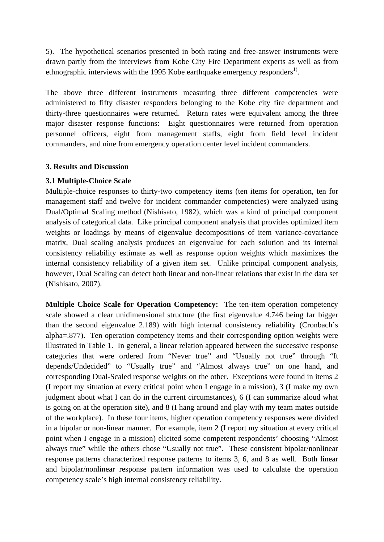5). The hypothetical scenarios presented in both rating and free-answer instruments were drawn partly from the interviews from Kobe City Fire Department experts as well as from ethnographic interviews with the 1995 Kobe earthquake emergency responders<sup>1</sup>.

The above three different instruments measuring three different competencies were administered to fifty disaster responders belonging to the Kobe city fire department and thirty-three questionnaires were returned. Return rates were equivalent among the three major disaster response functions: Eight questionnaires were returned from operation personnel officers, eight from management staffs, eight from field level incident commanders, and nine from emergency operation center level incident commanders.

#### **3. Results and Discussion**

#### **3.1 Multiple-Choice Scale**

Multiple-choice responses to thirty-two competency items (ten items for operation, ten for management staff and twelve for incident commander competencies) were analyzed using Dual/Optimal Scaling method (Nishisato, 1982), which was a kind of principal component analysis of categorical data. Like principal component analysis that provides optimized item weights or loadings by means of eigenvalue decompositions of item variance-covariance matrix, Dual scaling analysis produces an eigenvalue for each solution and its internal consistency reliability estimate as well as response option weights which maximizes the internal consistency reliability of a given item set. Unlike principal component analysis, however, Dual Scaling can detect both linear and non-linear relations that exist in the data set (Nishisato, 2007).

**Multiple Choice Scale for Operation Competency:** The ten-item operation competency scale showed a clear unidimensional structure (the first eigenvalue 4.746 being far bigger than the second eigenvalue 2.189) with high internal consistency reliability (Cronbach's alpha=.877). Ten operation competency items and their corresponding option weights were illustrated in Table 1. In general, a linear relation appeared between the successive response categories that were ordered from "Never true" and "Usually not true" through "It depends/Undecided" to "Usually true" and "Almost always true" on one hand, and corresponding Dual-Scaled response weights on the other. Exceptions were found in items 2 (I report my situation at every critical point when I engage in a mission), 3 (I make my own judgment about what I can do in the current circumstances), 6 (I can summarize aloud what is going on at the operation site), and 8 (I hang around and play with my team mates outside of the workplace). In these four items, higher operation competency responses were divided in a bipolar or non-linear manner. For example, item 2 (I report my situation at every critical point when I engage in a mission) elicited some competent respondents' choosing "Almost always true" while the others chose "Usually not true". These consistent bipolar/nonlinear response patterns characterized response patterns to items 3, 6, and 8 as well. Both linear and bipolar/nonlinear response pattern information was used to calculate the operation competency scale's high internal consistency reliability.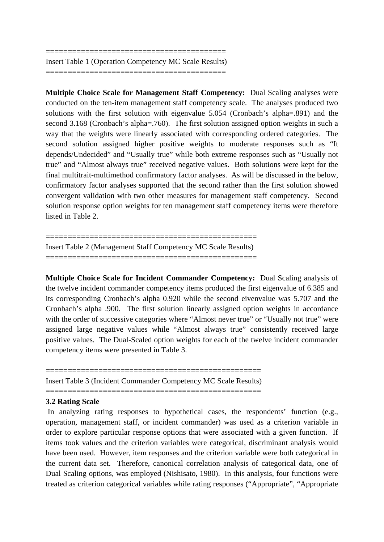========================================= Insert Table 1 (Operation Competency MC Scale Results) =========================================

**Multiple Choice Scale for Management Staff Competency:** Dual Scaling analyses were conducted on the ten-item management staff competency scale. The analyses produced two solutions with the first solution with eigenvalue 5.054 (Cronbach's alpha=.891) and the second 3.168 (Cronbach's alpha=.760). The first solution assigned option weights in such a way that the weights were linearly associated with corresponding ordered categories. The second solution assigned higher positive weights to moderate responses such as "It depends/Undecided" and "Usually true" while both extreme responses such as "Usually not true" and "Almost always true" received negative values. Both solutions were kept for the final multitrait-multimethod confirmatory factor analyses. As will be discussed in the below, confirmatory factor analyses supported that the second rather than the first solution showed convergent validation with two other measures for management staff competency. Second solution response option weights for ten management staff competency items were therefore listed in Table 2.

================================================ Insert Table 2 (Management Staff Competency MC Scale Results) ================================================

**Multiple Choice Scale for Incident Commander Competency:** Dual Scaling analysis of the twelve incident commander competency items produced the first eigenvalue of 6.385 and its corresponding Cronbach's alpha 0.920 while the second eivenvalue was 5.707 and the Cronbach's alpha .900. The first solution linearly assigned option weights in accordance with the order of successive categories where "Almost never true" or "Usually not true" were assigned large negative values while "Almost always true" consistently received large positive values. The Dual-Scaled option weights for each of the twelve incident commander competency items were presented in Table 3.

================================================= Insert Table 3 (Incident Commander Competency MC Scale Results)

=================================================

#### **3.2 Rating Scale**

 In analyzing rating responses to hypothetical cases, the respondents' function (e.g., operation, management staff, or incident commander) was used as a criterion variable in order to explore particular response options that were associated with a given function. If items took values and the criterion variables were categorical, discriminant analysis would have been used. However, item responses and the criterion variable were both categorical in the current data set. Therefore, canonical correlation analysis of categorical data, one of Dual Scaling options, was employed (Nishisato, 1980). In this analysis, four functions were treated as criterion categorical variables while rating responses ("Appropriate", "Appropriate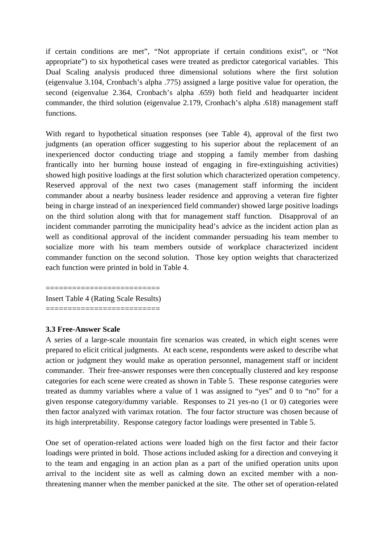if certain conditions are met", "Not appropriate if certain conditions exist", or "Not appropriate") to six hypothetical cases were treated as predictor categorical variables. This Dual Scaling analysis produced three dimensional solutions where the first solution (eigenvalue 3.104, Cronbach's alpha .775) assigned a large positive value for operation, the second (eigenvalue 2.364, Cronbach's alpha .659) both field and headquarter incident commander, the third solution (eigenvalue 2.179, Cronbach's alpha .618) management staff functions.

With regard to hypothetical situation responses (see Table 4), approval of the first two judgments (an operation officer suggesting to his superior about the replacement of an inexperienced doctor conducting triage and stopping a family member from dashing frantically into her burning house instead of engaging in fire-extinguishing activities) showed high positive loadings at the first solution which characterized operation competency. Reserved approval of the next two cases (management staff informing the incident commander about a nearby business leader residence and approving a veteran fire fighter being in charge instead of an inexperienced field commander) showed large positive loadings on the third solution along with that for management staff function. Disapproval of an incident commander parroting the municipality head's advice as the incident action plan as well as conditional approval of the incident commander persuading his team member to socialize more with his team members outside of workplace characterized incident commander function on the second solution. Those key option weights that characterized each function were printed in bold in Table 4.

========================== Insert Table 4 (Rating Scale Results) ==========================

#### **3.3 Free-Answer Scale**

A series of a large-scale mountain fire scenarios was created, in which eight scenes were prepared to elicit critical judgments. At each scene, respondents were asked to describe what action or judgment they would make as operation personnel, management staff or incident commander. Their free-answer responses were then conceptually clustered and key response categories for each scene were created as shown in Table 5. These response categories were treated as dummy variables where a value of 1 was assigned to "yes" and 0 to "no" for a given response category/dummy variable. Responses to 21 yes-no (1 or 0) categories were then factor analyzed with varimax rotation. The four factor structure was chosen because of its high interpretability. Response category factor loadings were presented in Table 5.

One set of operation-related actions were loaded high on the first factor and their factor loadings were printed in bold. Those actions included asking for a direction and conveying it to the team and engaging in an action plan as a part of the unified operation units upon arrival to the incident site as well as calming down an excited member with a nonthreatening manner when the member panicked at the site. The other set of operation-related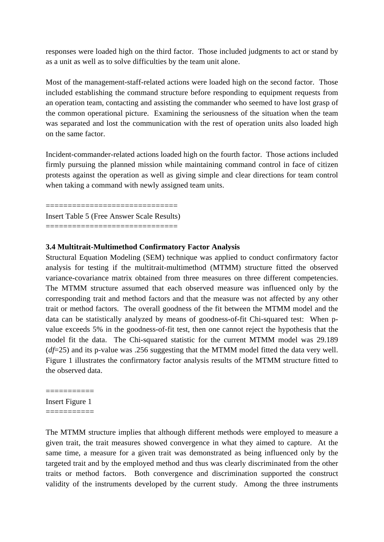responses were loaded high on the third factor. Those included judgments to act or stand by as a unit as well as to solve difficulties by the team unit alone.

Most of the management-staff-related actions were loaded high on the second factor. Those included establishing the command structure before responding to equipment requests from an operation team, contacting and assisting the commander who seemed to have lost grasp of the common operational picture. Examining the seriousness of the situation when the team was separated and lost the communication with the rest of operation units also loaded high on the same factor.

Incident-commander-related actions loaded high on the fourth factor. Those actions included firmly pursuing the planned mission while maintaining command control in face of citizen protests against the operation as well as giving simple and clear directions for team control when taking a command with newly assigned team units.

============================== Insert Table 5 (Free Answer Scale Results)

==============================

#### **3.4 Multitrait-Multimethod Confirmatory Factor Analysis**

Structural Equation Modeling (SEM) technique was applied to conduct confirmatory factor analysis for testing if the multitrait-multimethod (MTMM) structure fitted the observed variance-covariance matrix obtained from three measures on three different competencies. The MTMM structure assumed that each observed measure was influenced only by the corresponding trait and method factors and that the measure was not affected by any other trait or method factors. The overall goodness of the fit between the MTMM model and the data can be statistically analyzed by means of goodness-of-fit Chi-squared test: When pvalue exceeds 5% in the goodness-of-fit test, then one cannot reject the hypothesis that the model fit the data. The Chi-squared statistic for the current MTMM model was 29.189 (*df*=25) and its p-value was .256 suggesting that the MTMM model fitted the data very well. Figure 1 illustrates the confirmatory factor analysis results of the MTMM structure fitted to the observed data.

===========

Insert Figure 1

===========

The MTMM structure implies that although different methods were employed to measure a given trait, the trait measures showed convergence in what they aimed to capture. At the same time, a measure for a given trait was demonstrated as being influenced only by the targeted trait and by the employed method and thus was clearly discriminated from the other traits or method factors. Both convergence and discrimination supported the construct validity of the instruments developed by the current study. Among the three instruments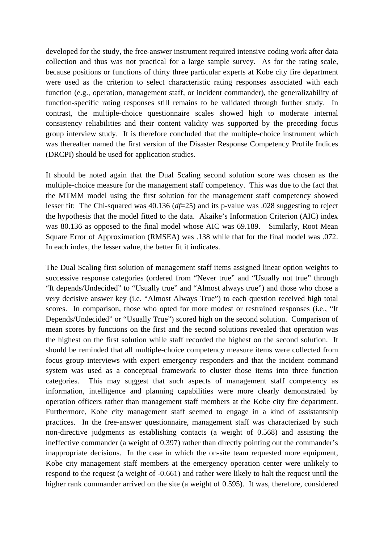developed for the study, the free-answer instrument required intensive coding work after data collection and thus was not practical for a large sample survey. As for the rating scale, because positions or functions of thirty three particular experts at Kobe city fire department were used as the criterion to select characteristic rating responses associated with each function (e.g., operation, management staff, or incident commander), the generalizability of function-specific rating responses still remains to be validated through further study. In contrast, the multiple-choice questionnaire scales showed high to moderate internal consistency reliabilities and their content validity was supported by the preceding focus group interview study. It is therefore concluded that the multiple-choice instrument which was thereafter named the first version of the Disaster Response Competency Profile Indices (DRCPI) should be used for application studies.

It should be noted again that the Dual Scaling second solution score was chosen as the multiple-choice measure for the management staff competency. This was due to the fact that the MTMM model using the first solution for the management staff competency showed lesser fit: The Chi-squared was 40.136 (*df*=25) and its p-value was .028 suggesting to reject the hypothesis that the model fitted to the data. Akaike's Information Criterion (AIC) index was 80.136 as opposed to the final model whose AIC was 69.189. Similarly, Root Mean Square Error of Approximation (RMSEA) was .138 while that for the final model was .072. In each index, the lesser value, the better fit it indicates.

The Dual Scaling first solution of management staff items assigned linear option weights to successive response categories (ordered from "Never true" and "Usually not true" through "It depends/Undecided" to "Usually true" and "Almost always true") and those who chose a very decisive answer key (i.e. "Almost Always True") to each question received high total scores. In comparison, those who opted for more modest or restrained responses (i.e., "It Depends/Undecided" or "Usually True") scored high on the second solution. Comparison of mean scores by functions on the first and the second solutions revealed that operation was the highest on the first solution while staff recorded the highest on the second solution. It should be reminded that all multiple-choice competency measure items were collected from focus group interviews with expert emergency responders and that the incident command system was used as a conceptual framework to cluster those items into three function categories. This may suggest that such aspects of management staff competency as information, intelligence and planning capabilities were more clearly demonstrated by operation officers rather than management staff members at the Kobe city fire department. Furthermore, Kobe city management staff seemed to engage in a kind of assistantship practices. In the free-answer questionnaire, management staff was characterized by such non-directive judgments as establishing contacts (a weight of 0.568) and assisting the ineffective commander (a weight of 0.397) rather than directly pointing out the commander's inappropriate decisions. In the case in which the on-site team requested more equipment, Kobe city management staff members at the emergency operation center were unlikely to respond to the request (a weight of -0.661) and rather were likely to halt the request until the higher rank commander arrived on the site (a weight of 0.595). It was, therefore, considered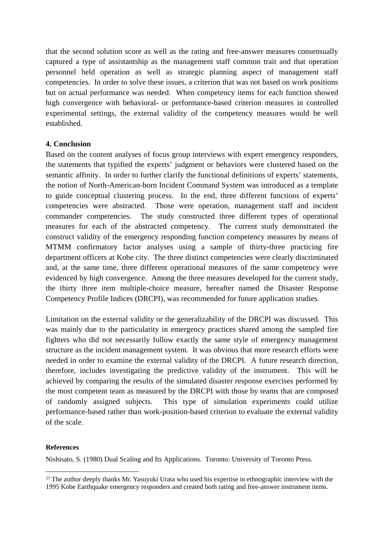that the second solution score as well as the rating and free-answer measures consensually captured a type of assistantship as the management staff common trait and that operation personnel held operation as well as strategic planning aspect of management staff competencies. In order to solve these issues, a criterion that was not based on work positions but on actual performance was needed. When competency items for each function showed high convergence with behavioral- or performance-based criterion measures in controlled experimental settings, the external validity of the competency measures would be well established.

### **4. Conclusion**

Based on the content analyses of focus group interviews with expert emergency responders, the statements that typified the experts' judgment or behaviors were clustered based on the semantic affinity. In order to further clarify the functional definitions of experts' statements, the notion of North-American-born Incident Command System was introduced as a template to guide conceptual clustering process. In the end, three different functions of experts' competencies were abstracted. Those were operation, management staff and incident commander competencies. The study constructed three different types of operational measures for each of the abstracted competency. The current study demonstrated the construct validity of the emergency responding function competency measures by means of MTMM confirmatory factor analyses using a sample of thirty-three practicing fire department officers at Kobe city. The three distinct competencies were clearly discriminated and, at the same time, three different operational measures of the same competency were evidenced by high convergence. Among the three measures developed for the current study, the thirty three item multiple-choice measure, hereafter named the Disaster Response Competency Profile Indices (DRCPI), was recommended for future application studies.

Limitation on the external validity or the generalizability of the DRCPI was discussed. This was mainly due to the particularity in emergency practices shared among the sampled fire fighters who did not necessarily follow exactly the same style of emergency management structure as the incident management system. It was obvious that more research efforts were needed in order to examine the external validity of the DRCPI. A future research direction, therefore, includes investigating the predictive validity of the instrument. This will be achieved by comparing the results of the simulated disaster response exercises performed by the most competent team as measured by the DRCPI with those by teams that are composed of randomly assigned subjects. This type of simulation experiments could utilize performance-based rather than work-position-based criterion to evaluate the external validity of the scale.

#### **References**

-

Nishisato, S. (1980) Dual Scaling and Its Applications. Toronto: University of Toronto Press.

 $<sup>1</sup>$  The author deeply thanks Mr. Yasuyuki Urata who used his expertise in ethnographic interview with the</sup> 1995 Kobe Earthquake emergency responders and created both rating and free-answer instrument items.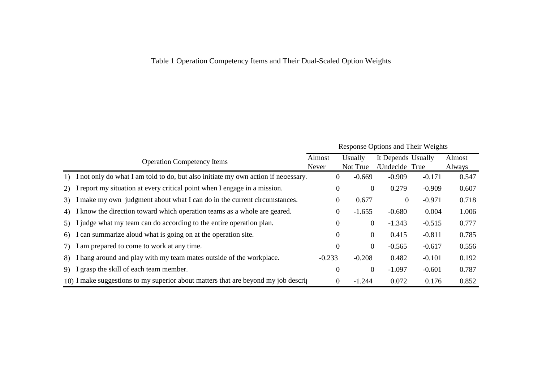# Table 1 Operation Competency Items and Their Dual-Scaled Option Weights

|     |                                                                                        | <b>Response Options and Their Weights</b> |                  |                |                    |          |        |
|-----|----------------------------------------------------------------------------------------|-------------------------------------------|------------------|----------------|--------------------|----------|--------|
|     | <b>Operation Competency Items</b>                                                      | Almost                                    |                  | Usually        | It Depends Usually |          | Almost |
|     |                                                                                        | Never                                     |                  | Not True       | /Undecide True     |          | Always |
| 1)  | I not only do what I am told to do, but also initiate my own action if necessary.      |                                           | $\overline{0}$   | $-0.669$       | $-0.909$           | $-0.171$ | 0.547  |
| 2)  | I report my situation at every critical point when I engage in a mission.              |                                           | $\boldsymbol{0}$ | $\overline{0}$ | 0.279              | $-0.909$ | 0.607  |
| 3)  | I make my own judgment about what I can do in the current circumstances.               |                                           | $\overline{0}$   | 0.677          | $\overline{0}$     | $-0.971$ | 0.718  |
| 4)  | I know the direction toward which operation teams as a whole are geared.               |                                           | $\theta$         | $-1.655$       | $-0.680$           | 0.004    | 1.006  |
| 5)  | I judge what my team can do according to the entire operation plan.                    |                                           | 0                | $\overline{0}$ | $-1.343$           | $-0.515$ | 0.777  |
| 6)  | I can summarize aloud what is going on at the operation site.                          |                                           | 0                | $\overline{0}$ | 0.415              | $-0.811$ | 0.785  |
| (7) | I am prepared to come to work at any time.                                             |                                           | $\Omega$         | $\overline{0}$ | $-0.565$           | $-0.617$ | 0.556  |
| 8)  | I hang around and play with my team mates outside of the workplace.                    | $-0.233$                                  |                  | $-0.208$       | 0.482              | $-0.101$ | 0.192  |
| 9)  | I grasp the skill of each team member.                                                 |                                           | 0                | $\overline{0}$ | $-1.097$           | $-0.601$ | 0.787  |
|     | 10) I make suggestions to my superior about matters that are beyond my job description |                                           | 0                | $-1.244$       | 0.072              | 0.176    | 0.852  |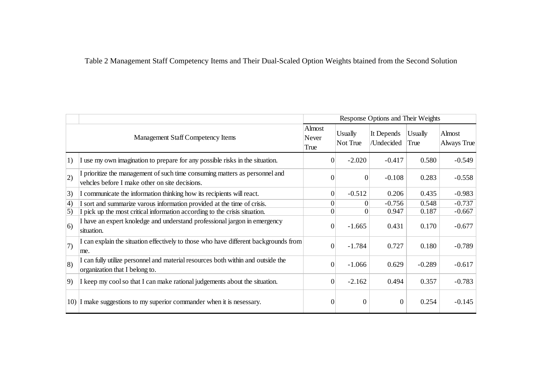Table 2 Management Staff Competency Items and Their Dual-Scaled Option Weights btained from the Second Solution

|                                          |                                                                                                                               | Response Options and Their Weights |                     |                          |                 |                       |
|------------------------------------------|-------------------------------------------------------------------------------------------------------------------------------|------------------------------------|---------------------|--------------------------|-----------------|-----------------------|
| <b>Management Staff Competency Items</b> |                                                                                                                               | Almost<br>Never<br>True            | Usually<br>Not True | It Depends<br>/Undecided | Usually<br>True | Almost<br>Always True |
| 1)                                       | I use my own imagination to prepare for any possible risks in the situation.                                                  | $\boldsymbol{0}$                   | $-2.020$            | $-0.417$                 | 0.580           | $-0.549$              |
| 2)                                       | I prioritize the management of such time consuming matters as personnel and<br>vehcles before I make other on site decisions. | $\overline{0}$                     | $\boldsymbol{0}$    | $-0.108$                 | 0.283           | $-0.558$              |
| 3)                                       | I communicate the information thinking how its recipients will react.                                                         | $\boldsymbol{0}$                   | $-0.512$            | 0.206                    | 0.435           | $-0.983$              |
| 4)                                       | I sort and summarize varous information provided at the time of crisis.                                                       | $\Omega$                           | $\Omega$            | $-0.756$                 | 0.548           | $-0.737$              |
| 5)                                       | I pick up the most critical information according to the crisis situation.                                                    | $\Omega$                           | $\Omega$            | 0.947                    | 0.187           | $-0.667$              |
| (6)                                      | I have an expert knoledge and understand professional jargon in emergency<br>situation.                                       | $\overline{0}$                     | $-1.665$            | 0.431                    | 0.170           | $-0.677$              |
| 7)                                       | I can explain the situation effectively to those who have different backgrounds from<br>me.                                   | $\overline{0}$                     | $-1.784$            | 0.727                    | 0.180           | $-0.789$              |
| $ 8\rangle$                              | I can fully utilize personnel and material resources both within and outside the<br>organization that I belong to.            | $\boldsymbol{0}$                   | $-1.066$            | 0.629                    | $-0.289$        | $-0.617$              |
| 9)                                       | I keep my cool so that I can make rational judgements about the situation.                                                    | $\boldsymbol{0}$                   | $-2.162$            | 0.494                    | 0.357           | $-0.783$              |
|                                          | 10) I make suggestions to my superior commander when it is nesessary.                                                         | $\theta$                           | $\boldsymbol{0}$    | $\Omega$                 | 0.254           | $-0.145$              |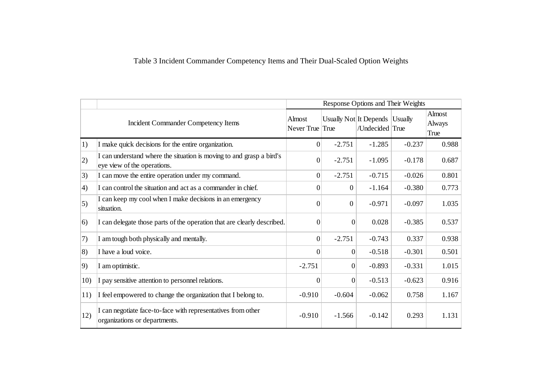# Table 3 Incident Commander Competency Items and Their Dual-Scaled Option Weights

|                  |                                                                                                     | Response Options and Their Weights |                  |                                                   |          |                          |
|------------------|-----------------------------------------------------------------------------------------------------|------------------------------------|------------------|---------------------------------------------------|----------|--------------------------|
|                  | <b>Incident Commander Competency Items</b>                                                          | Almost<br>Never True True          |                  | Usually Not It Depends Usually<br>/Undecided True |          | Almost<br>Always<br>True |
| 1)               | I make quick decisions for the entire organization.                                                 | $\overline{0}$                     | $-2.751$         | $-1.285$                                          | $-0.237$ | 0.988                    |
| 2)               | I can understand where the situation is moving to and grasp a bird's<br>eye view of the operations. | $\Omega$                           | $-2.751$         | $-1.095$                                          | $-0.178$ | 0.687                    |
| 3)               | I can move the entire operation under my command.                                                   | 0                                  | $-2.751$         | $-0.715$                                          | $-0.026$ | 0.801                    |
| $\left(4\right)$ | I can control the situation and act as a commander in chief.                                        | $\overline{0}$                     | $\theta$         | $-1.164$                                          | $-0.380$ | 0.773                    |
| 5)               | I can keep my cool when I make decisions in an emergency<br>situation.                              | $\Omega$                           | $\boldsymbol{0}$ | $-0.971$                                          | $-0.097$ | 1.035                    |
| 6)               | I can delegate those parts of the operation that are clearly described.                             | $\Omega$                           | $\overline{0}$   | 0.028                                             | $-0.385$ | 0.537                    |
| 7)               | I am tough both physically and mentally.                                                            | $\overline{0}$                     | $-2.751$         | $-0.743$                                          | 0.337    | 0.938                    |
| 8)               | I have a loud voice.                                                                                | $\vert 0 \vert$                    | $\overline{0}$   | $-0.518$                                          | $-0.301$ | 0.501                    |
| 9)               | I am optimistic.                                                                                    | $-2.751$                           | $\boldsymbol{0}$ | $-0.893$                                          | $-0.331$ | 1.015                    |
| 10)              | I pay sensitive attention to personnel relations.                                                   | $\overline{0}$                     | $\overline{0}$   | $-0.513$                                          | $-0.623$ | 0.916                    |
| 11)              | I feel empowered to change the organization that I belong to.                                       | $-0.910$                           | $-0.604$         | $-0.062$                                          | 0.758    | 1.167                    |
| 12)              | I can negotiate face-to-face with representatives from other<br>organizations or departments.       | $-0.910$                           | $-1.566$         | $-0.142$                                          | 0.293    | 1.131                    |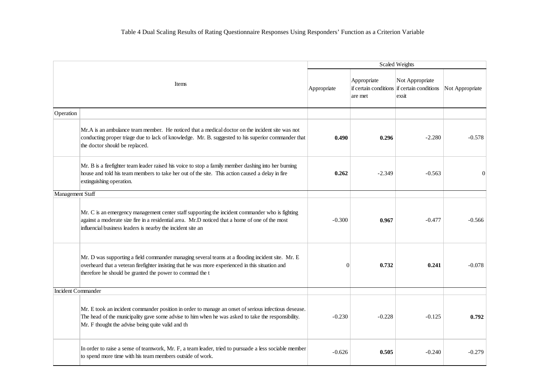| Items                     |                                                                                                                                                                                                                                                                   | Scaled Weights |                        |                                                                         |                 |  |  |  |
|---------------------------|-------------------------------------------------------------------------------------------------------------------------------------------------------------------------------------------------------------------------------------------------------------------|----------------|------------------------|-------------------------------------------------------------------------|-----------------|--|--|--|
|                           |                                                                                                                                                                                                                                                                   | Appropriate    | Appropriate<br>are met | Not Appropriate<br>if certain conditions if certain conditions<br>exsit | Not Appropriate |  |  |  |
| Operation                 |                                                                                                                                                                                                                                                                   |                |                        |                                                                         |                 |  |  |  |
|                           | Mr. A is an ambulance team member. He noticed that a medical doctor on the incident site was not<br>conducting proper triage due to lack of knowledge. Mr. B. suggested to his superior commander that<br>the doctor should be replaced.                          | 0.490          | 0.296                  | $-2.280$                                                                | $-0.578$        |  |  |  |
|                           | Mr. B is a firefighter team leader raised his voice to stop a family member dashing into her burning<br>house and told his team members to take her out of the site. This action caused a delay in fire<br>extinguishing operation.                               | 0.262          | $-2.349$               | $-0.563$                                                                | $\theta$        |  |  |  |
| Management Staff          |                                                                                                                                                                                                                                                                   |                |                        |                                                                         |                 |  |  |  |
|                           | Mr. C is an emergency management center staff supporting the incident commander who is fighting<br>against a moderate size fire in a residential area. Mr.D noticed that a home of one of the most<br>influencial business leaders is nearby the incident site an | $-0.300$       | 0.967                  | $-0.477$                                                                | $-0.566$        |  |  |  |
|                           | Mr. D was supporting a field commander managing several teams at a flooding incident site. Mr. E<br>overheard that a veteran firefighter insisting that he was more experienced in this situation and<br>therefore he should be granted the power to commad the t | $\Omega$       | 0.732                  | 0.241                                                                   | $-0.078$        |  |  |  |
| <b>Incident Commander</b> |                                                                                                                                                                                                                                                                   |                |                        |                                                                         |                 |  |  |  |
|                           | Mr. E took an incident commander position in order to manage an onset of serious infectious desease.<br>The head of the municipality gave some advise to him when he was asked to take the responsibility.<br>Mr. F thought the advise being quite valid and th   | $-0.230$       | $-0.228$               | $-0.125$                                                                | 0.792           |  |  |  |
|                           | In order to raise a sense of teamwork, Mr. F, a team leader, tried to pursuade a less sociable member<br>to spend more time with his team members outside of work.                                                                                                | $-0.626$       | 0.505                  | $-0.240$                                                                | $-0.279$        |  |  |  |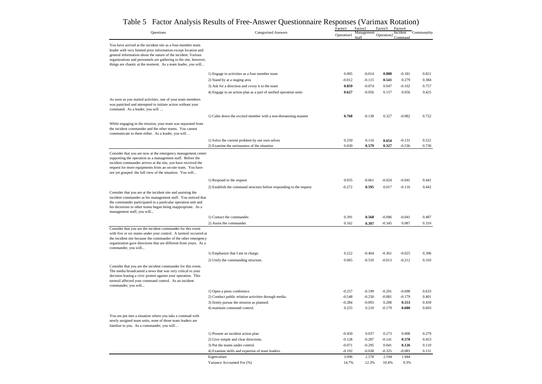|                                                                                                                                                                                                                                                                                                                       | Tuetor Triary sis resource of TTee Triis wer Questionnan's responses (Van                        | Factor1           | Factor <sub>2</sub> | mmax ixouun<br>Factor3 | Factor4       |                |
|-----------------------------------------------------------------------------------------------------------------------------------------------------------------------------------------------------------------------------------------------------------------------------------------------------------------------|--------------------------------------------------------------------------------------------------|-------------------|---------------------|------------------------|---------------|----------------|
| Questions                                                                                                                                                                                                                                                                                                             | <b>Categorized Answers</b>                                                                       | Operation1        | Management          | Operation2             | Incident      | Communality    |
|                                                                                                                                                                                                                                                                                                                       |                                                                                                  |                   | Staff               |                        | Command       |                |
| You have arrived at the incident site as a four-member team<br>leader with very limited prior information except location and<br>general information about the nature of the incident. Various                                                                                                                        |                                                                                                  |                   |                     |                        |               |                |
| organizations and personnels are gathering to the site, however,<br>things are chaotic at the moment. As a team leader, you will                                                                                                                                                                                      |                                                                                                  |                   |                     |                        |               |                |
|                                                                                                                                                                                                                                                                                                                       | 1) Engage in activities as a four member team                                                    | 0.005             | $-0.014$            | 0.888                  | $-0.181$      | 0.821          |
|                                                                                                                                                                                                                                                                                                                       | 2) Stand by at a staging area                                                                    | $-0.012$          | $-0.115$            | 0.541                  | 0.279         | 0.384          |
|                                                                                                                                                                                                                                                                                                                       | 3) Ask for a direction and covey it to the team                                                  | 0.859             | $-0.074$            | 0.047                  | $-0.102$      | 0.757          |
|                                                                                                                                                                                                                                                                                                                       | 4) Engage in an action plan as a part of unified operation units                                 | 0.627             | $-0.056$            | 0.157                  | 0.056         | 0.425          |
| As soon as you started activities, one of your team members<br>was panicked and attempted to initiate action without your<br>command. As a leader, you will                                                                                                                                                           |                                                                                                  |                   |                     |                        |               |                |
|                                                                                                                                                                                                                                                                                                                       | 1) Calm down the excited member with a non-threatening manner                                    | 0.768             | $-0.138$            | 0.327                  | $-0.082$      | 0.722          |
| While engaging in the mission, your team was separated from<br>the incident commander and the other teams. You cannot<br>communicate to them either. As a leader, you will                                                                                                                                            |                                                                                                  |                   |                     |                        |               |                |
|                                                                                                                                                                                                                                                                                                                       | 1) Solve the current problem by our own selves                                                   | 0.250             | 0.116               | 0.654                  | $-0.131$      | 0.521          |
|                                                                                                                                                                                                                                                                                                                       | 2) Examine the seriousness of the situation                                                      | 0.030             | 0.579               | 0.327                  | $-0.536$      | 0.730          |
| Consider that you are now at the emergency management center<br>supporting the operation as a management staff. Before the<br>incident commander arrives at the site, you have received the<br>request for more equipments from an on-site team. You have<br>not yet grasped the full view of the situation. You will |                                                                                                  |                   |                     |                        |               |                |
|                                                                                                                                                                                                                                                                                                                       |                                                                                                  |                   |                     |                        | $-0.041$      |                |
|                                                                                                                                                                                                                                                                                                                       | 1) Respond to the request<br>2) Establish the command structure before responding to the request | 0.035<br>$-0.272$ | $-0.661$<br>0.595   | $-0.024$<br>0.017      | $-0.116$      | 0.441<br>0.442 |
| Consider that you are at the incident site and assisting the<br>incident commander as his management staff. You noticed that<br>the commander participated in a particular operation unit and<br>his decesions to other teams began being inappropriate. As a<br>management staff, you will                           |                                                                                                  |                   |                     |                        |               |                |
|                                                                                                                                                                                                                                                                                                                       | 1) Contact the commander.                                                                        | 0.391             | 0.568               | $-0.096$               | $-0.041$      | 0.487          |
|                                                                                                                                                                                                                                                                                                                       | 2) Assist the commander.                                                                         | 0.162             | 0.397               | $-0.345$               | 0.087         | 0.310          |
| Consider that you are the incident commander for this event<br>with five or six teams under your control. A turmoil occurred at<br>the incident site because the commander of the other emergency<br>organization gave directions that are different from yours. As a<br>commander, you will                          |                                                                                                  |                   |                     |                        |               |                |
|                                                                                                                                                                                                                                                                                                                       | 1) Emphasize that I am in charge.                                                                | 0.222             | $-0.464$            | $-0.361$               | $-0.025$      | 0.396          |
| Consider that you are the incident commander for this event.<br>The media broadcasted a news that was very critical to your<br>decision leasing a civic protest against your operation. This<br>turmoil affected your command control. As an incident<br>commander, you will                                          | 2) Unify the commanding structure.                                                               | 0.065             | $-0.510$            | $-0.013$               | $-0.212$      | 0.310          |
|                                                                                                                                                                                                                                                                                                                       | 1) Open a press conference.                                                                      | $-0.257$          | $-0.199$            | $-0.201$               | $-0.698$      | 0.633          |
|                                                                                                                                                                                                                                                                                                                       | 2) Conduct public relation activities through media.                                             | $-0.548$          | $-0.250$            | $-0.081$               | $-0.179$      | 0.401          |
|                                                                                                                                                                                                                                                                                                                       | 3) firmly pursue the mission as planned.                                                         | $-0.284$          | $-0.093$            | 0.208                  | 0.553         | 0.439          |
|                                                                                                                                                                                                                                                                                                                       | 4) maintain command control.                                                                     | 0.255             | 0.210               | $-0.179$               | 0.680         | 0.603          |
| You are put into a situation where you take a commad with<br>newly assigned team units, none of those team leaders are<br>familiar to you. As a commander, you will                                                                                                                                                   |                                                                                                  |                   |                     |                        |               |                |
|                                                                                                                                                                                                                                                                                                                       | 1) Present an incident action plan                                                               | $-0.450$          | 0.037               | 0.273                  | 0.008         | 0.279          |
|                                                                                                                                                                                                                                                                                                                       | 2) Give simple and clear directions.                                                             | $-0.128$          | $-0.287$            | $-0.141$               | 0.578         | 0.453          |
|                                                                                                                                                                                                                                                                                                                       | 3) Put the teams under control.                                                                  | $-0.071$          | $-0.295$            | 0.041                  | 0.126         | 0.110          |
|                                                                                                                                                                                                                                                                                                                       | 4) Examine skills and expertise of team leaders.                                                 | $-0.192$          | $-0.038$            | $-0.325$               | $-0.083$      | 0.151          |
|                                                                                                                                                                                                                                                                                                                       | Eigenvalues<br>Variance Accounted For (%)                                                        | 3.096<br>14.7%    | 2.578<br>12.3%      | 2.194<br>10.4%         | 1.944<br>9.3% |                |
|                                                                                                                                                                                                                                                                                                                       |                                                                                                  |                   |                     |                        |               |                |

#### Table 5 Factor Analysis Results of Free-Answer Questionnaire Responses (Varimax Rotation)